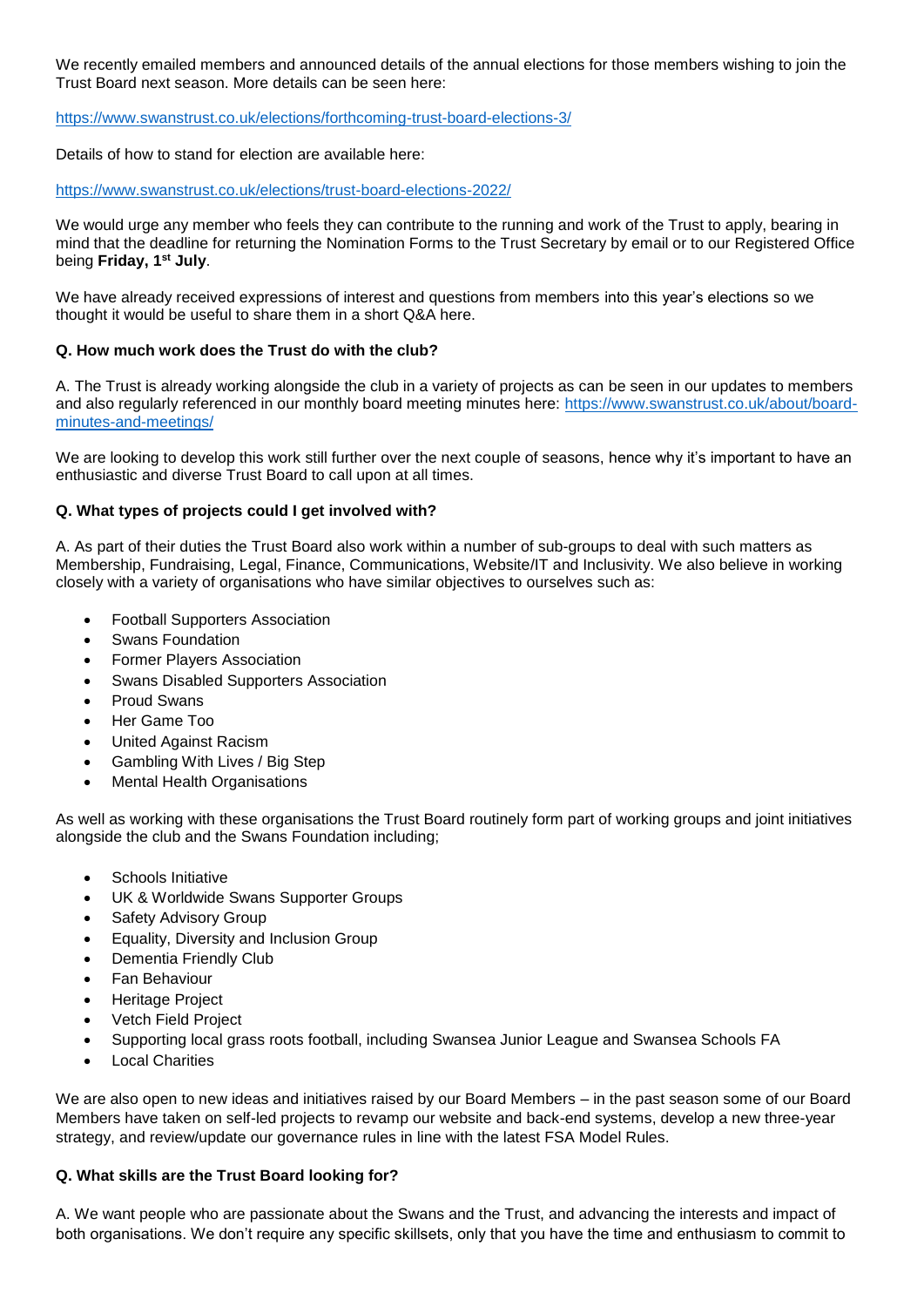We recently emailed members and announced details of the annual elections for those members wishing to join the Trust Board next season. More details can be seen here:

<https://www.swanstrust.co.uk/elections/forthcoming-trust-board-elections-3/>

Details of how to stand for election are available here:

<https://www.swanstrust.co.uk/elections/trust-board-elections-2022/>

We would urge any member who feels they can contribute to the running and work of the Trust to apply, bearing in mind that the deadline for returning the Nomination Forms to the Trust Secretary by email or to our Registered Office being **Friday, 1st July**.

We have already received expressions of interest and questions from members into this year's elections so we thought it would be useful to share them in a short Q&A here.

#### **Q. How much work does the Trust do with the club?**

A. The Trust is already working alongside the club in a variety of projects as can be seen in our updates to members and also regularly referenced in our monthly board meeting minutes here: [https://www.swanstrust.co.uk/about/board](https://www.swanstrust.co.uk/about/board-minutes-and-meetings/)[minutes-and-meetings/](https://www.swanstrust.co.uk/about/board-minutes-and-meetings/)

We are looking to develop this work still further over the next couple of seasons, hence why it's important to have an enthusiastic and diverse Trust Board to call upon at all times.

#### **Q. What types of projects could I get involved with?**

A. As part of their duties the Trust Board also work within a number of sub-groups to deal with such matters as Membership, Fundraising, Legal, Finance, Communications, Website/IT and Inclusivity. We also believe in working closely with a variety of organisations who have similar objectives to ourselves such as:

- Football Supporters Association
- Swans Foundation
- Former Players Association
- Swans Disabled Supporters Association
- Proud Swans
- Her Game Too
- United Against Racism
- Gambling With Lives / Big Step
- Mental Health Organisations

As well as working with these organisations the Trust Board routinely form part of working groups and joint initiatives alongside the club and the Swans Foundation including;

- Schools Initiative
- UK & Worldwide Swans Supporter Groups
- Safety Advisory Group
- Equality, Diversity and Inclusion Group
- Dementia Friendly Club
- Fan Behaviour
- Heritage Project
- Vetch Field Project
- Supporting local grass roots football, including Swansea Junior League and Swansea Schools FA
- Local Charities

We are also open to new ideas and initiatives raised by our Board Members – in the past season some of our Board Members have taken on self-led projects to revamp our website and back-end systems, develop a new three-year strategy, and review/update our governance rules in line with the latest FSA Model Rules.

### **Q. What skills are the Trust Board looking for?**

A. We want people who are passionate about the Swans and the Trust, and advancing the interests and impact of both organisations. We don't require any specific skillsets, only that you have the time and enthusiasm to commit to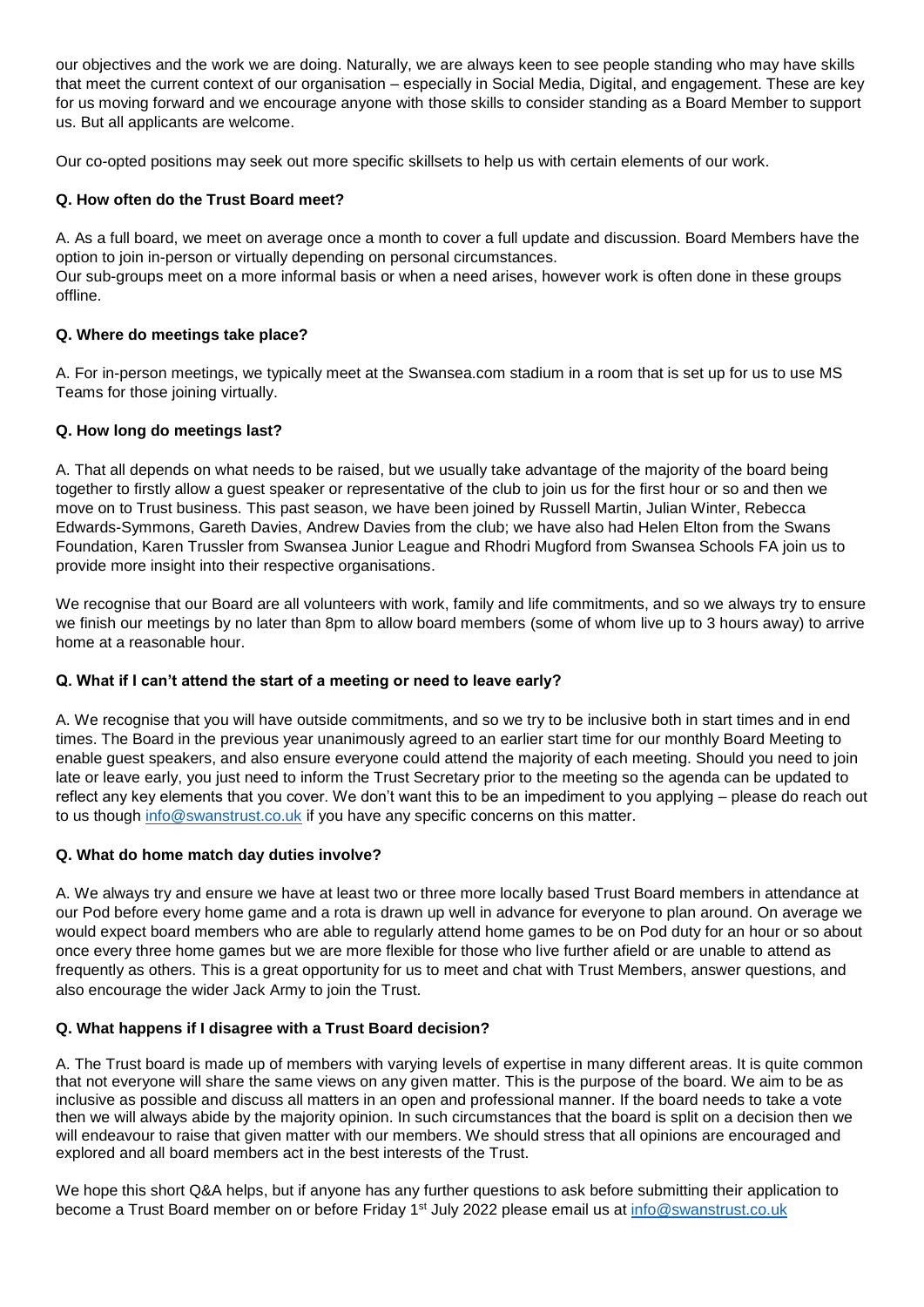our objectives and the work we are doing. Naturally, we are always keen to see people standing who may have skills that meet the current context of our organisation – especially in Social Media, Digital, and engagement. These are key for us moving forward and we encourage anyone with those skills to consider standing as a Board Member to support us. But all applicants are welcome.

Our co-opted positions may seek out more specific skillsets to help us with certain elements of our work.

## **Q. How often do the Trust Board meet?**

A. As a full board, we meet on average once a month to cover a full update and discussion. Board Members have the option to join in-person or virtually depending on personal circumstances.

Our sub-groups meet on a more informal basis or when a need arises, however work is often done in these groups offline.

## **Q. Where do meetings take place?**

A. For in-person meetings, we typically meet at the Swansea.com stadium in a room that is set up for us to use MS Teams for those joining virtually.

## **Q. How long do meetings last?**

A. That all depends on what needs to be raised, but we usually take advantage of the majority of the board being together to firstly allow a guest speaker or representative of the club to join us for the first hour or so and then we move on to Trust business. This past season, we have been joined by Russell Martin, Julian Winter, Rebecca Edwards-Symmons, Gareth Davies, Andrew Davies from the club; we have also had Helen Elton from the Swans Foundation, Karen Trussler from Swansea Junior League and Rhodri Mugford from Swansea Schools FA join us to provide more insight into their respective organisations.

We recognise that our Board are all volunteers with work, family and life commitments, and so we always try to ensure we finish our meetings by no later than 8pm to allow board members (some of whom live up to 3 hours away) to arrive home at a reasonable hour.

# **Q. What if I can't attend the start of a meeting or need to leave early?**

A. We recognise that you will have outside commitments, and so we try to be inclusive both in start times and in end times. The Board in the previous year unanimously agreed to an earlier start time for our monthly Board Meeting to enable guest speakers, and also ensure everyone could attend the majority of each meeting. Should you need to join late or leave early, you just need to inform the Trust Secretary prior to the meeting so the agenda can be updated to reflect any key elements that you cover. We don't want this to be an impediment to you applying – please do reach out to us though [info@swanstrust.co.uk](mailto:info@swanstrust.co.uk) if you have any specific concerns on this matter.

### **Q. What do home match day duties involve?**

A. We always try and ensure we have at least two or three more locally based Trust Board members in attendance at our Pod before every home game and a rota is drawn up well in advance for everyone to plan around. On average we would expect board members who are able to regularly attend home games to be on Pod duty for an hour or so about once every three home games but we are more flexible for those who live further afield or are unable to attend as frequently as others. This is a great opportunity for us to meet and chat with Trust Members, answer questions, and also encourage the wider Jack Army to join the Trust.

# **Q. What happens if I disagree with a Trust Board decision?**

A. The Trust board is made up of members with varying levels of expertise in many different areas. It is quite common that not everyone will share the same views on any given matter. This is the purpose of the board. We aim to be as inclusive as possible and discuss all matters in an open and professional manner. If the board needs to take a vote then we will always abide by the majority opinion. In such circumstances that the board is split on a decision then we will endeavour to raise that given matter with our members. We should stress that all opinions are encouraged and explored and all board members act in the best interests of the Trust.

We hope this short Q&A helps, but if anyone has any further questions to ask before submitting their application to become a Trust Board member on or before Friday 1<sup>st</sup> July 2022 please email us at [info@swanstrust.co.uk](mailto:info@swanstrust.co.uk)